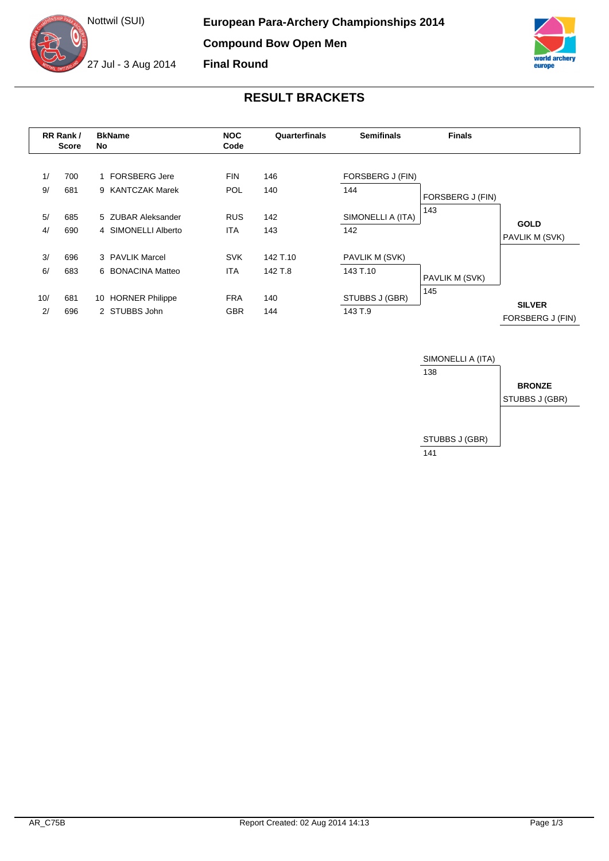



## **RESULT BRACKETS**

|          | RR Rank/<br><b>Score</b> | <b>BkName</b><br>No                      | <b>NOC</b><br>Code       | Quarterfinals | <b>Semifinals</b>       | <b>Finals</b>    |                                   |
|----------|--------------------------|------------------------------------------|--------------------------|---------------|-------------------------|------------------|-----------------------------------|
| 1/<br>9/ | 700<br>681               | <b>FORSBERG Jere</b><br>9 KANTCZAK Marek | <b>FIN</b><br><b>POL</b> | 146<br>140    | FORSBERG J (FIN)<br>144 |                  |                                   |
|          |                          |                                          |                          |               |                         | FORSBERG J (FIN) |                                   |
| 5/       | 685                      | 5 ZUBAR Aleksander                       | <b>RUS</b>               | 142           | SIMONELLI A (ITA)       | 143              | <b>GOLD</b>                       |
| 4/       | 690                      | 4 SIMONELLI Alberto                      | <b>ITA</b>               | 143           | 142                     |                  | PAVLIK M (SVK)                    |
| 3/       | 696                      | 3 PAVLIK Marcel                          | <b>SVK</b>               | 142 T.10      | PAVLIK M (SVK)          |                  |                                   |
| 6/       | 683                      | 6 BONACINA Matteo                        | <b>ITA</b>               | 142 T.8       | 143 T.10                | PAVLIK M (SVK)   |                                   |
| 10/      | 681                      | 10 HORNER Philippe                       | <b>FRA</b>               | 140           | STUBBS J (GBR)          | 145              |                                   |
| 2/       | 696                      | 2 STUBBS John                            | <b>GBR</b>               | 144           | 143 T.9                 |                  | <b>SILVER</b><br>FORSBERG J (FIN) |

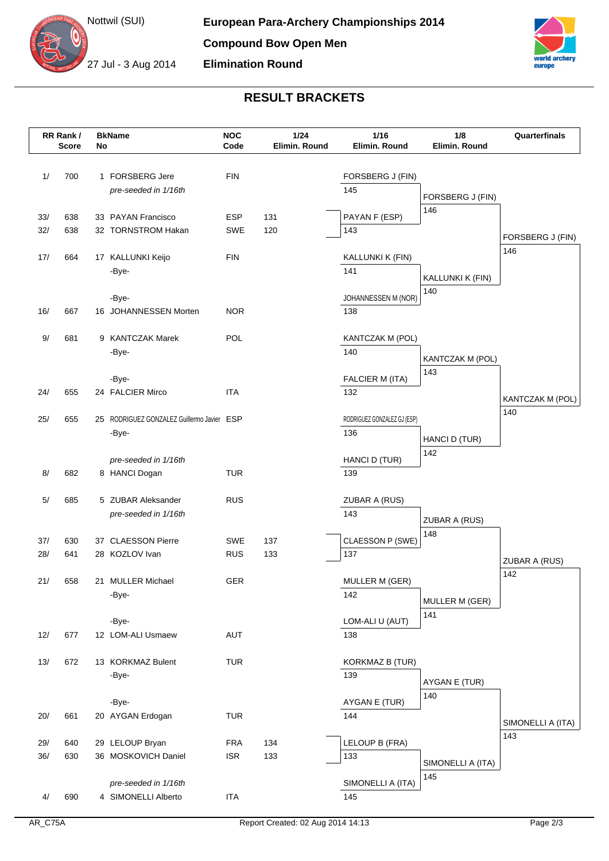



## **RESULT BRACKETS**

|            | RR Rank/<br><b>Score</b> | No | <b>BkName</b>                              | <b>NOC</b><br>Code       | $1/24$<br>Elimin. Round | 1/16<br>Elimin. Round       | 1/8<br>Elimin. Round    | Quarterfinals     |
|------------|--------------------------|----|--------------------------------------------|--------------------------|-------------------------|-----------------------------|-------------------------|-------------------|
|            |                          |    |                                            |                          |                         |                             |                         |                   |
| 1/         | 700                      |    | 1 FORSBERG Jere                            | <b>FIN</b>               |                         | FORSBERG J (FIN)            |                         |                   |
|            |                          |    | pre-seeded in 1/16th                       |                          |                         | 145                         | FORSBERG J (FIN)        |                   |
|            |                          |    |                                            |                          |                         |                             | 146                     |                   |
| 33/        | 638                      |    | 33 PAYAN Francisco                         | <b>ESP</b>               | 131                     | PAYAN F (ESP)               |                         |                   |
| 32/        | 638                      |    | 32 TORNSTROM Hakan                         | <b>SWE</b>               | 120                     | 143                         |                         | FORSBERG J (FIN)  |
| 17/        | 664                      |    | 17 KALLUNKI Keijo                          | <b>FIN</b>               |                         | KALLUNKI K (FIN)            |                         | 146               |
|            |                          |    | -Bye-                                      |                          |                         | 141                         |                         |                   |
|            |                          |    |                                            |                          |                         |                             | KALLUNKI K (FIN)<br>140 |                   |
|            |                          |    | -Bye-                                      |                          |                         | JOHANNESSEN M (NOR)         |                         |                   |
| 16/        | 667                      |    | 16 JOHANNESSEN Morten                      | <b>NOR</b>               |                         | 138                         |                         |                   |
| 9/         | 681                      |    | 9 KANTCZAK Marek                           | POL                      |                         | KANTCZAK M (POL)            |                         |                   |
|            |                          |    | -Bye-                                      |                          |                         | 140                         |                         |                   |
|            |                          |    |                                            |                          |                         |                             | KANTCZAK M (POL)<br>143 |                   |
|            |                          |    | -Bye-                                      |                          |                         | FALCIER M (ITA)             |                         |                   |
| 24/        | 655                      |    | 24 FALCIER Mirco                           | <b>ITA</b>               |                         | 132                         |                         | KANTCZAK M (POL)  |
| 25/        | 655                      |    | 25 RODRIGUEZ GONZALEZ Guillermo Javier ESP |                          |                         | RODRIGUEZ GONZALEZ GJ (ESP) |                         | 140               |
|            |                          |    | -Bye-                                      |                          |                         | 136                         |                         |                   |
|            |                          |    |                                            |                          |                         |                             | HANCI D (TUR)           |                   |
|            |                          |    | pre-seeded in 1/16th                       |                          |                         | HANCI D (TUR)               | 142                     |                   |
| 8/         | 682                      |    | 8 HANCI Dogan                              | <b>TUR</b>               |                         | 139                         |                         |                   |
| 5/         | 685                      |    | 5 ZUBAR Aleksander                         | <b>RUS</b>               |                         | ZUBAR A (RUS)               |                         |                   |
|            |                          |    | pre-seeded in 1/16th                       |                          |                         | 143                         |                         |                   |
|            |                          |    |                                            |                          |                         |                             | ZUBAR A (RUS)<br>148    |                   |
| 37/        | 630                      |    | 37 CLAESSON Pierre                         | <b>SWE</b>               | 137                     | CLAESSON P (SWE)            |                         |                   |
| 28/        | 641                      |    | 28 KOZLOV Ivan                             | <b>RUS</b>               | 133                     | 137                         |                         | ZUBAR A (RUS)     |
| 21/        | 658                      |    |                                            | GER                      |                         |                             |                         | 142               |
|            |                          |    | 21 MULLER Michael<br>-Bye-                 |                          |                         | MULLER M (GER)<br>142       |                         |                   |
|            |                          |    |                                            |                          |                         |                             | MULLER M (GER)          |                   |
|            |                          |    | -Bye-                                      |                          |                         | LOM-ALI U (AUT)             | 141                     |                   |
| 12/        | 677                      |    | 12 LOM-ALI Usmaew                          | AUT                      |                         | 138                         |                         |                   |
| $13/$      | 672                      |    | 13 KORKMAZ Bulent                          | <b>TUR</b>               |                         | <b>KORKMAZ B (TUR)</b>      |                         |                   |
|            |                          |    | -Bye-                                      |                          |                         | 139                         |                         |                   |
|            |                          |    |                                            |                          |                         |                             | AYGAN E (TUR)           |                   |
|            |                          |    | -Bye-                                      |                          |                         | AYGAN E (TUR)               | 140                     |                   |
| 20/        | 661                      |    | 20 AYGAN Erdogan                           | <b>TUR</b>               |                         | 144                         |                         | SIMONELLI A (ITA) |
|            |                          |    |                                            |                          |                         |                             |                         | 143               |
| 29/<br>36/ | 640<br>630               |    | 29 LELOUP Bryan<br>36 MOSKOVICH Daniel     | <b>FRA</b><br><b>ISR</b> | 134<br>133              | LELOUP B (FRA)<br>133       |                         |                   |
|            |                          |    |                                            |                          |                         |                             | SIMONELLI A (ITA)       |                   |
|            |                          |    | pre-seeded in 1/16th                       |                          |                         | SIMONELLI A (ITA)           | 145                     |                   |
| 4/         | 690                      |    | 4 SIMONELLI Alberto                        | <b>ITA</b>               |                         | 145                         |                         |                   |